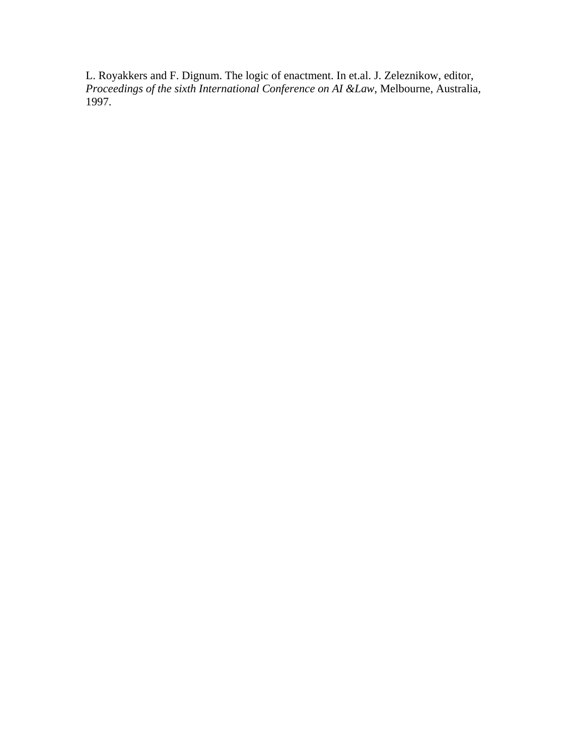L. Royakkers and F. Dignum. The logic of enactment. In et.al. J. Zeleznikow, editor, *Proceedings of the sixth International Conference on AI &Law*, Melbourne, Australia, 1997.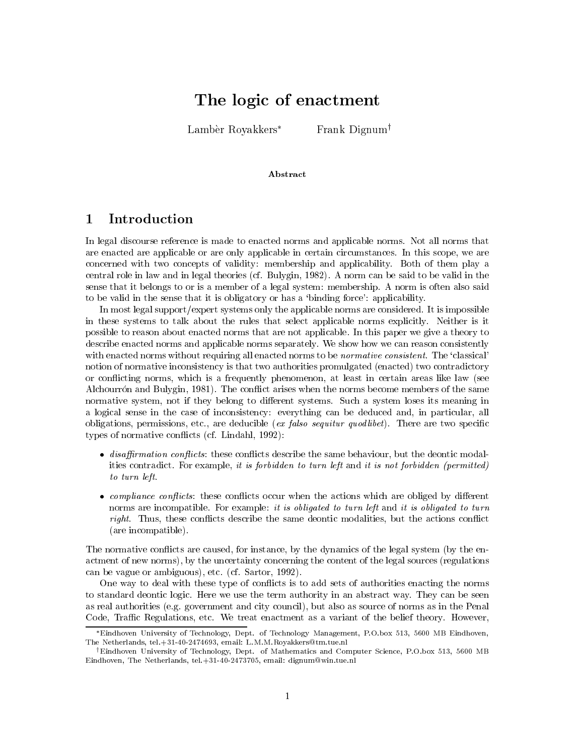# The logic of enactment

Lambèr Royakkers\*

Frank Dignum<sup>†</sup>

## Abstract

#### Introduction  $\mathbf 1$

In legal discourse reference is made to enacted norms and applicable norms. Not all norms that are enacted are applicable or are only applicable in certain circumstances. In this scope, we are concerned with two concepts of validity: membership and applicability. Both of them play a central role in law and in legal theories (cf. Bulygin, 1982). A norm can be said to be valid in the sense that it belongs to or is a member of a legal system: membership. A norm is often also said to be valid in the sense that it is obligatory or has a 'binding force': applicability.

In most legal support/expert systems only the applicable norms are considered. It is impossible in these systems to talk about the rules that select applicable norms explicitly. Neither is it possible to reason about enacted norms that are not applicable. In this paper we give a theory to describe enacted norms and applicable norms separately. We show how we can reason consistently with enacted norms without requiring all enacted norms to be *normative consistent*. The 'classical' notion of normative inconsistency is that two authorities promulgated (enacted) two contradictory or conflicting norms, which is a frequently phenomenon, at least in certain areas like law (see Alchourrón and Bulygin, 1981). The conflict arises when the norms become members of the same normative system, not if they belong to different systems. Such a system loses its meaning in a logical sense in the case of inconsistency: everything can be deduced and, in particular, all obligations, permissions, etc., are deducible (ex falso sequitur quodlibet). There are two specific types of normative conflicts (cf. Lindahl, 1992):

- $\bullet$  disaffirmation conflicts: these conflicts describe the same behaviour, but the deontic modalities contradict. For example, it is forbidden to turn left and it is not forbidden (permitted) to turn left.
- compliance conflicts: these conflicts occur when the actions which are obliged by different norms are incompatible. For example: it is obligated to turn left and it is obligated to turn *right.* Thus, these conflicts describe the same deontic modalities, but the actions conflict (are incompatible).

The normative conflicts are caused, for instance, by the dynamics of the legal system (by the enactment of new norms), by the uncertainty concerning the content of the legal sources (regulations can be vague or ambiguous), etc. (cf. Sartor, 1992).

One way to deal with these type of conflicts is to add sets of authorities enacting the norms to standard deontic logic. Here we use the term authority in an abstract way. They can be seen as real authorities (e.g. government and city council), but also as source of norms as in the Penal Code, Traffic Regulations, etc. We treat enactment as a variant of the belief theory. However,

<sup>\*</sup>Eindhoven University of Technology, Dept. of Technology Management, P.O.box 513, 5600 MB Eindhoven, The Netherlands, tel.+31-40-2474693, email: L.M.M.Royakkers@tm.tue.nl

Eindhoven University of Technology, Dept. of Mathematics and Computer Science, P.O.box 513, 5600 MB  $^{\rm t}$ Eindhoven, The Netherlands, tel.+31-40-2473705, email: dignum@win.tue.nl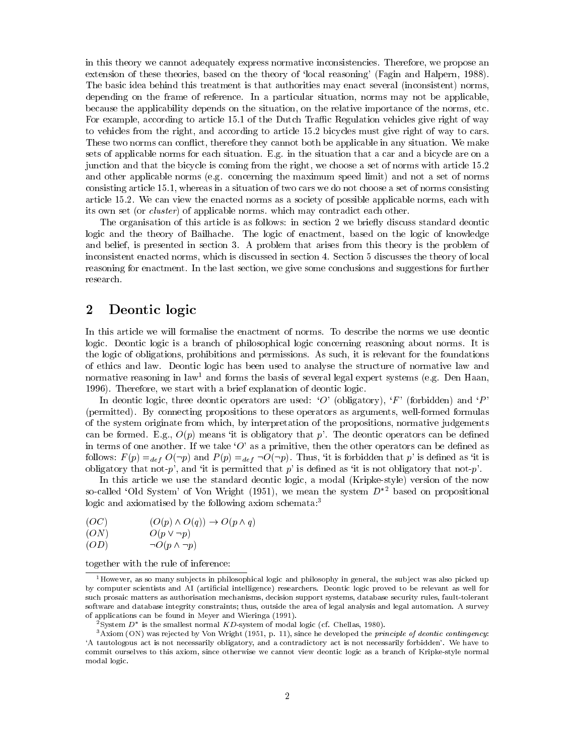in this theory we cannot adequately express normative inconsistencies. Therefore, we propose an extension of these theories, based on the theory of 'local reasoning' (Fagin and Halpern, 1988). The basic idea behind this treatment is that authorities may enact several (inconsistent) norms. depending on the frame of reference. In a particular situation, norms may not be applicable, because the applicability depends on the situation, on the relative importance of the norms, etc. For example, according to article 15.1 of the Dutch Traffic Regulation vehicles give right of way to vehicles from the right, and according to article 15.2 bicycles must give right of way to cars. These two norms can conflict, therefore they cannot both be applicable in any situation. We make sets of applicable norms for each situation. E.g. in the situation that a car and a bicycle are on a junction and that the bicycle is coming from the right, we choose a set of norms with article 15.2 and other applicable norms (e.g. concerning the maximum speed limit) and not a set of norms consisting article 15.1, whereas in a situation of two cars we do not choose a set of norms consisting article 15.2. We can view the enacted norms as a society of possible applicable norms, each with its own set (or *cluster*) of applicable norms, which may contradict each other.

The organisation of this article is as follows: in section 2 we briefly discuss standard deontic logic and the theory of Bailhache. The logic of enactment, based on the logic of knowledge and belief, is presented in section 3. A problem that arises from this theory is the problem of inconsistent enacted norms, which is discussed in section 4. Section 5 discusses the theory of local reasoning for enactment. In the last section, we give some conclusions and suggestions for further research.

#### $\bf{2}$ Deontic logic

In this article we will formalise the enactment of norms. To describe the norms we use deontic logic. Deontic logic is a branch of philosophical logic concerning reasoning about norms. It is the logic of obligations, prohibitions and permissions. As such, it is relevant for the foundations of ethics and law. Deontic logic has been used to analyse the structure of normative law and normative reasoning in law<sup>1</sup> and forms the basis of several legal expert systems (e.g. Den Haan, 1996). Therefore, we start with a brief explanation of deontic logic.

In deontic logic, three deontic operators are used: 'O' (obligatory), 'F' (forbidden) and 'P' (permitted). By connecting propositions to these operators as arguments, well-formed formulas of the system originate from which, by interpretation of the propositions, normative judgements can be formed. E.g.,  $O(p)$  means 'it is obligatory that p'. The deontic operators can be defined in terms of one another. If we take 'O' as a primitive, then the other operators can be defined as follows:  $F(p) =_{def} O(\neg p)$  and  $P(p) =_{def} \neg O(\neg p)$ . Thus, 'it is forbidden that p' is defined as 'it is obligatory that not-p', and 'it is permitted that p' is defined as 'it is not obligatory that not-p'.

In this article we use the standard deontic logic, a modal (Kripke-style) version of the now so-called 'Old System' of Von Wright (1951), we mean the system  $D^{*2}$  based on propositional logic and axiomatised by the following axiom schemata: $3$ 

 $(O(p) \wedge O(q)) \rightarrow O(p \wedge q)$  $(OC)$ 

 $O(p \vee \neg p)$  $(ON)$ 

 $(OD)$  $\neg O(p \wedge \neg p)$ 

together with the rule of inference:

<sup>&</sup>lt;sup>1</sup>However, as so many subjects in philosophical logic and philosophy in general, the subject was also picked up by computer scientists and AI (artificial intelligence) researchers. Deontic logic proved to be relevant as well for such prosaic matters as authorisation mechanisms, decision support systems, database security rules, fault-tolerant software and database integrity constraints; thus, outside the area of legal analysis and legal automation. A survey of applications can be found in Meyer and Wieringa (1991).

<sup>&</sup>lt;sup>2</sup>System  $D^*$  is the smallest normal  $KD$ -system of modal logic (cf. Chellas, 1980).

 $3$  Axiom (ON) was rejected by Von Wright (1951, p. 11), since he developed the *principle of deontic contingency*: 'A tautologous act is not necessarily obligatory, and a contradictory act is not necessarily forbidden'. We have to commit ourselves to this axiom, since otherwise we cannot view deontic logic as a branch of Kripke-style normal modal logic.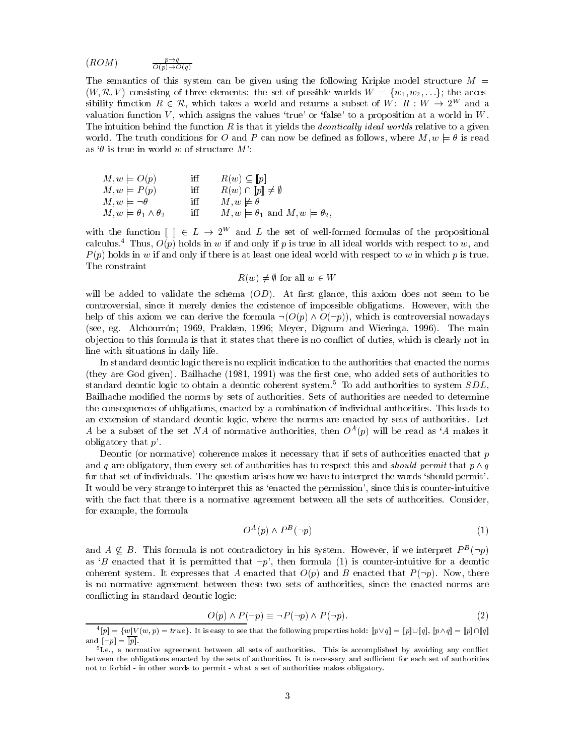$$
(ROM) \qquad \qquad \frac{p \to q}{O(p) \to O(q)}
$$

The semantics of this system can be given using the following Kripke model structure  $M =$  $(W, \mathcal{R}, V)$  consisting of three elements: the set of possible worlds  $W = \{w_1, w_2, \ldots\}$ ; the accessibility function  $R \in \mathcal{R}$ , which takes a world and returns a subset of W:  $R : W \to 2^W$  and a valuation function  $V$ , which assigns the values 'true' or 'false' to a proposition at a world in  $W$ . The intuition behind the function  $R$  is that it yields the *deontically ideal worlds* relative to a given world. The truth conditions for O and P can now be defined as follows, where  $M, w \models \theta$  is read as  $\theta$  is true in world w of structure M':

$$
M, w \models O(p) \quad \text{iff} \quad R(w) \subseteq [p] \nM, w \models P(p) \quad \text{iff} \quad R(w) \cap [p] \neq \emptyset \nM, w \models \neg \theta \quad \text{iff} \quad M, w \not\models \theta \nM, w \models \theta_1 \land \theta_2 \quad \text{iff} \quad M, w \models \theta_1 \text{ and } M, w \models \theta_2,
$$

with the function  $\llbracket \cdot \rrbracket \in L \to 2^W$  and L the set of well-formed formulas of the propositional calculus.<sup>4</sup> Thus,  $O(p)$  holds in w if and only if p is true in all ideal worlds with respect to w, and  $P(p)$  holds in w if and only if there is at least one ideal world with respect to w in which p is true. The constraint

 $R(w) \neq \emptyset$  for all  $w \in W$ 

will be added to validate the schema  $(OD)$ . At first glance, this axiom does not seem to be controversial, since it merely denies the existence of impossible obligations. However, with the help of this axiom we can derive the formula  $\neg(O(p) \land O(\neg p))$ , which is controversial nowadays (see, eg. Alchourrón; 1969, Prakken, 1996; Meyer, Dignum and Wieringa, 1996). The main objection to this formula is that it states that there is no conflict of duties, which is clearly not in line with situations in daily life.

In standard deontic logic there is no explicit indication to the authorities that enacted the norms (they are God given). Bailhache (1981, 1991) was the first one, who added sets of authorities to standard deontic logic to obtain a deontic coherent system.<sup>5</sup> To add authorities to system  $SDL$ , Bailhache modified the norms by sets of authorities. Sets of authorities are needed to determine the consequences of obligations, enacted by a combination of individual authorities. This leads to an extension of standard deontic logic, where the norms are enacted by sets of authorities. Let A be a subset of the set NA of normative authorities, then  $O^{A}(p)$  will be read as 'A makes it obligatory that  $p'$ .

Deontic (or normative) coherence makes it necessary that if sets of authorities enacted that p and q are obligatory, then every set of authorities has to respect this and *should permit* that  $p \wedge q$ for that set of individuals. The question arises how we have to interpret the words 'should permit'. It would be very strange to interpret this as 'enacted the permission', since this is counter-intuitive with the fact that there is a normative agreement between all the sets of authorities. Consider, for example, the formula

$$
O^A(p) \wedge P^B(\neg p) \tag{1}
$$

and  $A \nsubseteq B$ . This formula is not contradictory in his system. However, if we interpret  $P^B(\neg p)$ as 'B enacted that it is permitted that  $\neg p$ ', then formula (1) is counter-intuitive for a deontic coherent system. It expresses that A enacted that  $O(p)$  and B enacted that  $P(\neg p)$ . Now, there is no normative agreement between these two sets of authorities, since the enacted norms are conflicting in standard deontic logic:

$$
O(p) \land P(\neg p) \equiv \neg P(\neg p) \land P(\neg p). \tag{2}
$$

 ${}^4[p] = \{w|V(w,p) = true\}$ . It is easy to see that the following properties hold:  $[p \vee q] = [p] \cup [q]$ ,  $[p \wedge q] = [p] \cap [q]$ and  $[\neg p] = \overline{[p]}$ .

 $5$ I.e., a normative agreement between all sets of authorities. This is accomplished by avoiding any conflict between the obligations enacted by the sets of authorities. It is necessary and sufficient for each set of authorities not to forbid - in other words to permit - what a set of authorities makes obligatory.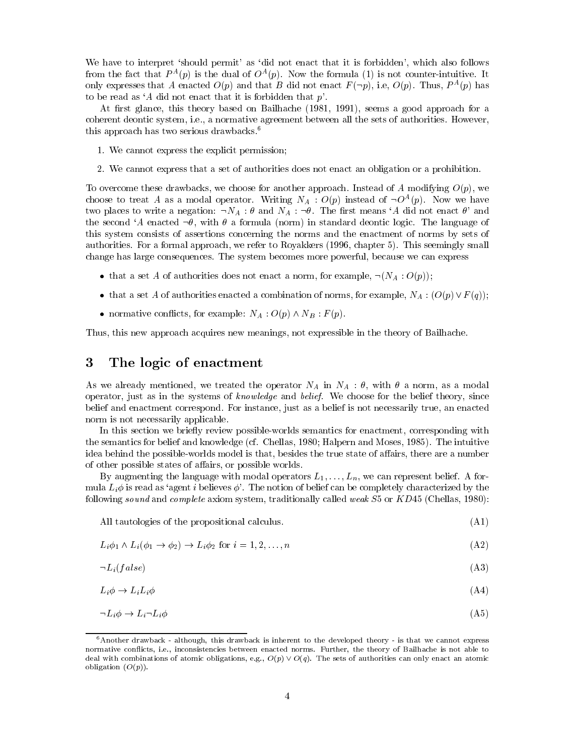We have to interpret 'should permit' as 'did not enact that it is forbidden', which also follows from the fact that  $P^{A}(p)$  is the dual of  $O^{A}(p)$ . Now the formula (1) is not counter-intuitive. It only expresses that A enacted  $O(p)$  and that B did not enact  $F(\neg p)$ , i.e,  $O(p)$ . Thus,  $P^A(p)$  has to be read as 'A did not enact that it is forbidden that  $p'$ .

At first glance, this theory based on Bailhache (1981, 1991), seems a good approach for a coherent deontic system, i.e., a normative agreement between all the sets of authorities. However, this approach has two serious drawbacks.<sup>6</sup>

- 1. We cannot express the explicit permission;
- 2. We cannot express that a set of authorities does not enact an obligation or a prohibition.

To overcome these drawbacks, we choose for another approach. Instead of A modifying  $O(p)$ , we choose to treat A as a modal operator. Writing  $N_A: O(p)$  instead of  $\neg O^A(p)$ . Now we have two places to write a negation:  $\neg N_A : \theta$  and  $N_A : \neg \theta$ . The first means 'A did not enact  $\theta$ ' and the second 'A enacted  $\neg \theta$ , with  $\theta$  a formula (norm) in standard deontic logic. The language of this system consists of assertions concerning the norms and the enactment of norms by sets of authorities. For a formal approach, we refer to Royakkers (1996, chapter 5). This seemingly small change has large consequences. The system becomes more powerful, because we can express

- that a set A of authorities does not enact a norm, for example,  $\neg(N_A:O(p));$
- that a set A of authorities enacted a combination of norms, for example,  $N_A: (O(p) \vee F(q));$
- normative conflicts, for example:  $N_A: O(p) \wedge N_B: F(p)$ .

Thus, this new approach acquires new meanings, not expressible in the theory of Bailhache.

#### The logic of enactment 3

As we already mentioned, we treated the operator  $N_A$  in  $N_A$  :  $\theta$ , with  $\theta$  a norm, as a modal operator, just as in the systems of knowledge and belief. We choose for the belief theory, since belief and enactment correspond. For instance, just as a belief is not necessarily true, an enacted norm is not necessarily applicable.

In this section we briefly review possible-worlds semantics for enactment, corresponding with the semantics for belief and knowledge (cf. Chellas, 1980; Halpern and Moses, 1985). The intuitive idea behind the possible-worlds model is that, besides the true state of affairs, there are a number of other possible states of affairs, or possible worlds.

By augmenting the language with modal operators  $L_1, \ldots, L_n$ , we can represent belief. A formula  $L_i\phi$  is read as 'agent i believes  $\phi$ '. The notion of belief can be completely characterized by the following sound and complete axiom system, traditionally called weak  $S5$  or  $KD45$  (Chellas, 1980):

All tautologies of the propositional calculus.

 $L_i\phi_1 \wedge L_i(\phi_1 \rightarrow \phi_2) \rightarrow L_i\phi_2$  for  $i = 1, 2, ..., n$  $(A2)$ 

 $(A1)$ 

$$
\neg L_i(false) \tag{A3}
$$

$$
L_i \phi \to L_i L_i \phi \tag{A4}
$$

$$
\neg L_i \phi \to L_i \neg L_i \phi \tag{A5}
$$

 $^6$  Another drawback – although, this drawback is inherent to the developed theory – is that we cannot express normative conflicts, i.e., inconsistencies between enacted norms. Further, the theory of Bailhache is not able to deal with combinations of atomic obligations, e.g.,  $O(p) \vee O(q)$ . The sets of authorities can only enact an atomic obligation  $(O(p))$ .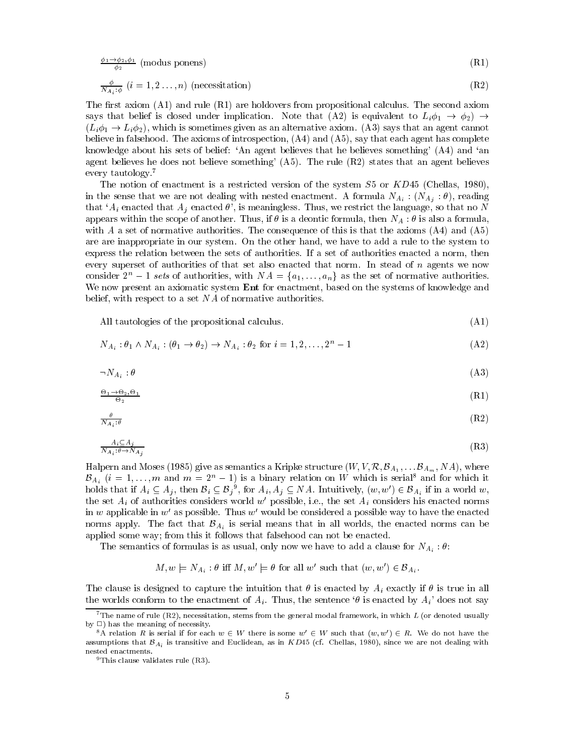$$
\frac{\phi_1 \to \phi_2, \phi_1}{\phi_2} \text{ (modus ponens)} \tag{R1}
$$

$$
\frac{\varphi}{N_{A_i:\phi}}\ (i=1,2\ldots,n)\ \text{(necessitation)}\tag{R2}
$$

The first axiom  $(A1)$  and rule  $(R1)$  are holdovers from propositional calculus. The second axiom says that belief is closed under implication. Note that (A2) is equivalent to  $L_i\phi_1 \rightarrow \phi_2$ )  $\rightarrow$  $(L_i\phi_1 \rightarrow L_i\phi_2)$ , which is sometimes given as an alternative axiom. (A3) says that an agent cannot believe in false hood. The axioms of introspection,  $(A4)$  and  $(A5)$ , say that each agent has complete knowledge about his sets of belief: 'An agent believes that he believes something' (A4) and 'an agent believes he does not believe something'  $(A5)$ . The rule  $(R2)$  states that an agent believes every tautology.<sup>7</sup>

The notion of enactment is a restricted version of the system  $S5$  or  $KD45$  (Chellas, 1980), in the sense that we are not dealing with nested enactment. A formula  $N_{A_i}$ :  $(N_{A_i}:\theta)$ , reading that 'A<sub>i</sub> enacted that  $A_j$  enacted  $\theta$ ', is meaningless. Thus, we restrict the language, so that no N appears within the scope of another. Thus, if  $\theta$  is a deontic formula, then  $N_A : \theta$  is also a formula with A a set of normative authorities. The consequence of this is that the axioms  $(A4)$  and  $(A5)$ are are inappropriate in our system. On the other hand, we have to add a rule to the system to express the relation between the sets of authorities. If a set of authorities enacted a norm, then every superset of authorities of that set also enacted that norm. In stead of  $n$  agents we now consider  $2^n - 1$  sets of authorities, with  $NA = \{a_1, \ldots, a_n\}$  as the set of normative authorities. We now present an axiomatic system Ent for enactment, based on the systems of knowledge and belief, with respect to a set  $NA$  of normative authorities.

All tautologies of the propositional calculus.

$$
N_{A_i}: \theta_1 \wedge N_{A_i}: (\theta_1 \rightarrow \theta_2) \rightarrow N_{A_i}: \theta_2 \text{ for } i = 1, 2, \dots, 2^n - 1
$$
\n(A2)

 $(A1)$ 

$$
\neg N_{A_i} : \theta \tag{A3}
$$

$$
\frac{\Theta_1 \to \Theta_2, \Theta_1}{\Theta_2} \tag{R1}
$$

$$
\frac{\theta}{N_{A_i}:\theta} \tag{R2}
$$

$$
\frac{A_i \subseteq A_j}{N_{A_i} : \theta \to N_{A_j}} \tag{R3}
$$

Halpern and Moses (1985) give as semantics a Kripke structure  $(W, V, \mathcal{R}, \mathcal{B}_{A_1}, \ldots \mathcal{B}_{A_m}, NA)$ , where  $\mathcal{B}_{A_i}$   $(i = 1, ..., m$  and  $m = 2<sup>n</sup> - 1$  is a binary relation on W which is serial<sup>8</sup> and for which it holds that if  $A_i \subseteq A_j$ , then  $B_i \subseteq B_j^0$ , for  $A_i, A_j \subseteq NA$ . Intuitively,  $(w, w') \in B_{A_i}$  if in a world w, the set  $A_i$  of authorities considers world w' possible, i.e., the set  $A_i$  considers his enacted norms in  $w$  applicable in  $w'$  as possible. Thus  $w'$  would be considered a possible way to have the enacted norms apply. The fact that  $\mathcal{B}_{A_i}$  is serial means that in all worlds, the enacted norms can be applied some way; from this it follows that falsehood can not be enacted.

The semantics of formulas is as usual, only now we have to add a clause for  $N_{A_i}$ :  $\theta$ :

$$
M, w \models N_{A_i} : \theta
$$
 iff  $M, w' \models \theta$  for all w' such that  $(w, w') \in \mathcal{B}_{A_i}$ 

The clause is designed to capture the intuition that  $\theta$  is enacted by  $A_i$  exactly if  $\theta$  is true in all the worlds conform to the enactment of  $A_i$ . Thus, the sentence ' $\theta$  is enacted by  $A_i$ ' does not say

 $^7$  The name of rule (R2), necessitation, stems from the general modal framework, in which L (or denoted usually by  $\Box$ ) has the meaning of necessity.

<sup>&</sup>lt;sup>8</sup>A relation R is serial if for each  $w \in W$  there is some  $w' \in W$  such that  $(w, w') \in R$ . We do not have the assumptions that  $\mathcal{B}_{A_i}$  is transitive and Euclidean, as in KD45 (cf. Chellas, 1980), since we are not dealing with nested enactments.

 $9$ This clause validates rule  $(R3)$ .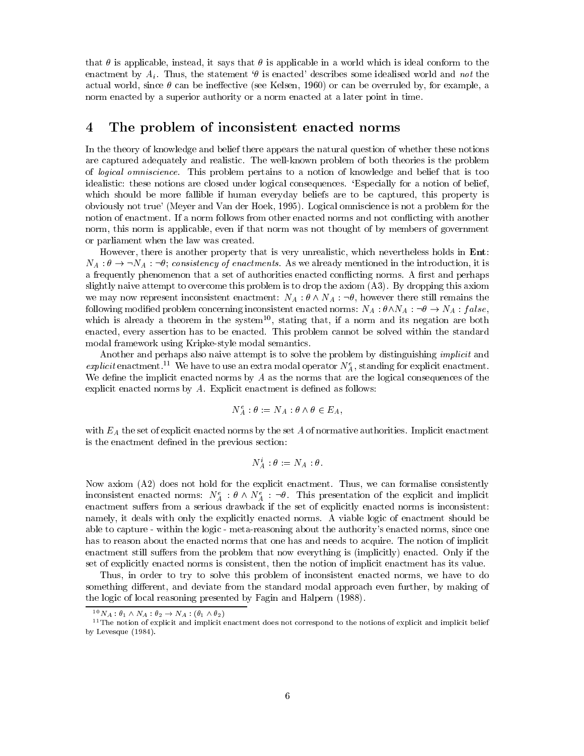that  $\theta$  is applicable, instead, it says that  $\theta$  is applicable in a world which is ideal conform to the enactment by  $A_i$ . Thus, the statement ' $\theta$  is enacted' describes some idealised world and not the actual world, since  $\theta$  can be ineffective (see Kelsen, 1960) or can be overruled by, for example, a norm enacted by a superior authority or a norm enacted at a later point in time.

#### The problem of inconsistent enacted norms 4

In the theory of knowledge and belief there appears the natural question of whether these notions are captured adequately and realistic. The well-known problem of both theories is the problem of logical omniscience. This problem pertains to a notion of knowledge and belief that is too idealistic: these notions are closed under logical consequences. 'Especially for a notion of belief, which should be more fallible if human everyday beliefs are to be captured, this property is obviously not true' (Meyer and Van der Hoek, 1995). Logical omniscience is not a problem for the notion of enactment. If a norm follows from other enacted norms and not conflicting with another norm, this norm is applicable, even if that norm was not thought of by members of government or parliament when the law was created.

However, there is another property that is very unrealistic, which nevertheless holds in Ent:  $N_A: \theta \to \neg N_A: \neg \theta$ ; consistency of enactments. As we already mentioned in the introduction, it is a frequently phenomenon that a set of authorities enacted conflicting norms. A first and perhaps slightly naive attempt to overcome this problem is to drop the axiom  $(A3)$ . By dropping this axiom we may now represent inconsistent enactment:  $N_A : \theta \wedge N_A : \neg \theta$ , however there still remains the following modified problem concerning inconsistent enacted norms:  $N_A : \theta \wedge N_A : \neg \theta \rightarrow N_A : false$ , which is already a theorem in the system<sup>10</sup>, stating that, if a norm and its negation are both enacted, every assertion has to be enacted. This problem cannot be solved within the standard modal framework using Kripke-style modal semantics.

Another and perhaps also naive attempt is to solve the problem by distinguishing *implicit* and explicit enactment.<sup>11</sup> We have to use an extra modal operator  $N_A^e$ , standing for explicit enactment. We define the implicit enacted norms by  $A$  as the norms that are the logical consequences of the explicit enacted norms by  $A$ . Explicit enactment is defined as follows:

$$
N_A^e : \theta := N_A : \theta \wedge \theta \in E_A,
$$

with  $E_A$  the set of explicit enacted norms by the set A of normative authorities. Implicit enactment is the enactment defined in the previous section:

$$
N_A^i : \theta := N_A : \theta
$$

Now axiom (A2) does not hold for the explicit enactment. Thus, we can formalise consistently inconsistent enacted norms:  $N_A^e$  :  $\theta \wedge N_A^e$  :  $\neg \theta$ . This presentation of the explicit and implicit enactment suffers from a serious drawback if the set of explicitly enacted norms is inconsistent: namely, it deals with only the explicitly enacted norms. A viable logic of enactment should be able to capture - within the logic - meta-reasoning about the authority's enacted norms, since one has to reason about the enacted norms that one has and needs to acquire. The notion of implicit enactment still suffers from the problem that now everything is (implicitly) enacted. Only if the set of explicitly enacted norms is consistent, then the notion of implicit enactment has its value.

Thus, in order to try to solve this problem of inconsistent enacted norms, we have to do something different, and deviate from the standard modal approach even further, by making of the logic of local reasoning presented by Fagin and Halpern (1988).

<sup>&</sup>lt;sup>10</sup>  $N_A$  :  $\theta_1 \wedge N_A$  :  $\theta_2 \rightarrow N_A$  :  $(\theta_1 \wedge \theta_2)$ 

 $11$  The notion of explicit and implicit enactment does not correspond to the notions of explicit and implicit belief by Levesque  $(1984)$ .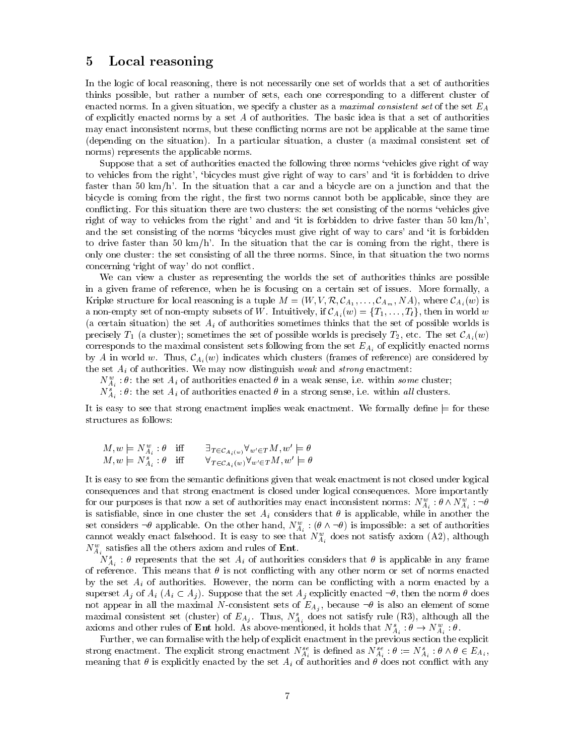#### 5 Local reasoning

In the logic of local reasoning, there is not necessarily one set of worlds that a set of authorities thinks possible, but rather a number of sets, each one corresponding to a different cluster of enacted norms. In a given situation, we specify a cluster as a maximal consistent set of the set  $E_A$ of explicitly enacted norms by a set A of authorities. The basic idea is that a set of authorities may enact inconsistent norms, but these conflicting norms are not be applicable at the same time (depending on the situation). In a particular situation, a cluster (a maximal consistent set of norms) represents the applicable norms.

Suppose that a set of authorities enacted the following three norms 'vehicles give right of way to vehicles from the right', 'bicycles must give right of way to cars' and 'it is forbidden to drive faster than 50 km/h'. In the situation that a car and a bicycle are on a junction and that the bicycle is coming from the right, the first two norms cannot both be applicable, since they are conflicting. For this situation there are two clusters: the set consisting of the norms 'vehicles give right of way to vehicles from the right' and and 'it is forbidden to drive faster than 50  $km/h'$ , and the set consisting of the norms 'bicycles must give right of way to cars' and 'it is forbidden to drive faster than 50 km/h'. In the situation that the car is coming from the right, there is only one cluster: the set consisting of all the three norms. Since, in that situation the two norms concerning 'right of way' do not conflict.

We can view a cluster as representing the worlds the set of authorities thinks are possible in a given frame of reference, when he is focusing on a certain set of issues. More formally, a Kripke structure for local reasoning is a tuple  $M = (W, V, \mathcal{R}, \mathcal{C}_{A_1}, \dots, \mathcal{C}_{A_m}, NA)$ , where  $\mathcal{C}_{A_i}(w)$  is a non-empty set of non-empty subsets of W. Intuitively, if  $\mathcal{C}_{A_i}(w) = \{T_1, \ldots, T_l\}$ , then in world w (a certain situation) the set  $A_i$  of authorities sometimes thinks that the set of possible worlds is precisely  $T_1$  (a cluster); sometimes the set of possible worlds is precisely  $T_2$ , etc. The set  $\mathcal{C}_{A_i}(w)$ corresponds to the maximal consistent sets following from the set  $E_{A_i}$  of explicitly enacted norms by A in world w. Thus,  $\mathcal{C}_{A_i}(w)$  indicates which clusters (frames of reference) are considered by the set  $A_i$  of authorities. We may now distinguish weak and strong enactment:

 $N_{A_i}^w$ :  $\theta$ : the set  $A_i$  of authorities enacted  $\theta$  in a weak sense, i.e. within some cluster;

 $N_{A_i}^s$ :  $\theta$ : the set  $A_i$  of authorities enacted  $\theta$  in a strong sense, i.e. within all clusters.

It is easy to see that strong enactment implies weak enactment. We formally define  $\models$  for these structures as follows:

$$
M, w \models N_{A_i}^w : \theta \quad \text{iff} \quad \exists_{T \in \mathcal{C}_{A_i}(w)} \forall_{w' \in T} M, w' \models \theta
$$
  

$$
M, w \models N_{A_i}^s : \theta \quad \text{iff} \quad \forall_{T \in \mathcal{C}_{A_i}(w)} \forall_{w' \in T} M, w' \models \theta
$$

It is easy to see from the semantic definitions given that weak enactment is not closed under logical consequences and that strong enactment is closed under logical consequences. More importantly for our purposes is that now a set of authorities may enact inconsistent norms:  $N_{A_i}^w$ :  $\theta \wedge N_{A_i}^w$ :  $\neg \theta$ is satisfiable, since in one cluster the set  $A_i$  considers that  $\theta$  is applicable, while in another the set considers  $\neg \theta$  applicable. On the other hand,  $N_{A_i}^w$ :  $(\theta \wedge \neg \theta)$  is impossible: a set of authorities cannot weakly enact falsehood. It is easy to see that  $N_{A_i}^w$  does not satisfy axiom (A2), although  $N_{A_i}^w$  satisfies all the others axiom and rules of **Ent**.

 $N_{A_i}^s$ :  $\theta$  represents that the set  $A_i$  of authorities considers that  $\theta$  is applicable in any frame of reference. This means that  $\theta$  is not conflicting with any other norm or set of norms enacted by the set  $A_i$  of authorities. However, the norm can be conflicting with a norm enacted by a superset  $A_i$  of  $A_i$   $(A_i \subset A_j)$ . Suppose that the set  $A_j$  explicitly enacted  $\neg \theta$ , then the norm  $\theta$  does not appear in all the maximal N-consistent sets of  $E_{A_i}$ , because  $\neg \theta$  is also an element of some maximal consistent set (cluster) of  $E_{A_j}$ . Thus,  $N_{A_i}^s$  does not satisfy rule (R3), although all the axioms and other rules of **Ent** hold. As above mentioned, it holds that  $N_{A_i}^s : \theta \to N_{A_i}^w : \theta$ .

Further, we can formalise with the help of explicit enactment in the previous section the explicit strong enactment. The explicit strong enactment  $N_{A_i}^{se}$  is defined as  $N_{A_i}^{se}$ :  $\theta := N_{A_i}^{s}$ :  $\theta \wedge \theta \in E_{A_i}$ , meaning that  $\theta$  is explicitly enacted by the set  $A_i$  of authorities and  $\theta$  does not conflict with any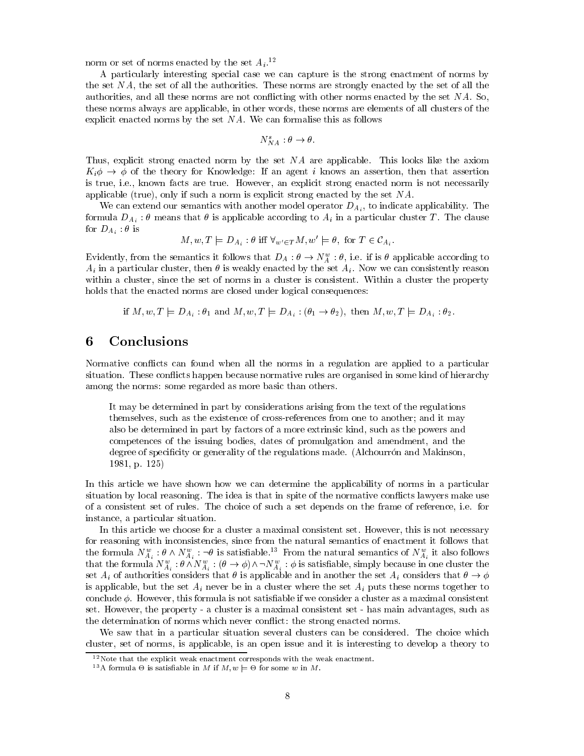norm or set of norms enacted by the set  $A_i$ .<sup>12</sup>

A particularly interesting special case we can capture is the strong enactment of norms by the set NA, the set of all the authorities. These norms are strongly enacted by the set of all the authorities, and all these norms are not conflicting with other norms enacted by the set  $NA$ . So, these norms always are applicable, in other words, these norms are elements of all clusters of the explicit enacted norms by the set  $NA$ . We can formalise this as follows

$$
N_{NA}^s : \theta \to \theta.
$$

Thus, explicit strong enacted norm by the set NA are applicable. This looks like the axiom  $K_i \phi \rightarrow \phi$  of the theory for Knowledge: If an agent i knows an assertion, then that assertion is true, i.e., known facts are true. However, an explicit strong enacted norm is not necessarily applicable (true), only if such a norm is explicit strong enacted by the set  $NA$ .

We can extend our semantics with another model operator  $D_{A_i}$ , to indicate applicability. The formula  $D_{A_i}: \theta$  means that  $\theta$  is applicable according to  $A_i$  in a particular cluster T. The clause for  $D_{A_i}$ :  $\theta$  is

$$
M, w, T \models D_{A_i} : \theta \text{ iff } \forall_{w' \in T} M, w' \models \theta, \text{ for } T \in C_{A_i}.
$$

Evidently, from the semantics it follows that  $D_A: \theta \to N_A^w: \theta$ , i.e. if is  $\theta$  applicable according to  $A_i$  in a particular cluster, then  $\theta$  is weakly enacted by the set  $A_i$ . Now we can consistently reason within a cluster, since the set of norms in a cluster is consistent. Within a cluster the property holds that the enacted norms are closed under logical consequences:

if  $M, w, T \models D_{A_i} : \theta_1$  and  $M, w, T \models D_{A_i} : (\theta_1 \rightarrow \theta_2)$ , then  $M, w, T \models D_{A_i} : \theta_2$ .

#### 6 Conclusions

Normative conflicts can found when all the norms in a regulation are applied to a particular situation. These conflicts happen because normative rules are organised in some kind of hierarchy among the norms: some regarded as more basic than others.

It may be determined in part by considerations arising from the text of the regulations themselves, such as the existence of cross-references from one to another; and it may also be determined in part by factors of a more extrinsic kind, such as the powers and competences of the issuing bodies, dates of promulgation and amendment, and the degree of specificity or generality of the regulations made. (Alchourrón and Makinson, 1981, p. 125)

In this article we have shown how we can determine the applicability of norms in a particular situation by local reasoning. The idea is that in spite of the normative conflicts lawyers make use of a consistent set of rules. The choice of such a set depends on the frame of reference, i.e. for instance, a particular situation.

In this article we choose for a cluster a maximal consistent set. However, this is not necessary for reasoning with inconsistencies, since from the natural semantics of enactment it follows that the formula  $N_{A_i}^w : \theta \wedge N_{A_i}^w : \neg \theta$  is satisfiable.<sup>13</sup> From the natural semantics of  $N_{A_i}^w$  it also follows that the formula  $N_{A_i}^w : \theta \wedge N_{A_i}^w : (\theta \to \phi) \wedge \neg N_{A_i}^w : \phi$  is satisfiable, simply because in one clus set  $A_i$  of authorities considers that  $\theta$  is applicable and in another the set  $A_i$  considers that  $\theta \to \phi$ is applicable, but the set  $A_i$  never be in a cluster where the set  $A_i$  puts these norms together to conclude  $\phi$ . However, this formula is not satisfiable if we consider a cluster as a maximal consistent set. However, the property - a cluster is a maximal consistent set - has main advantages, such as the determination of norms which never conflict: the strong enacted norms.

We saw that in a particular situation several clusters can be considered. The choice which cluster, set of norms, is applicable, is an open issue and it is interesting to develop a theory to

 $12$  Note that the explicit weak enactment corresponds with the weak enactment.

<sup>&</sup>lt;sup>13</sup> A formula  $\Theta$  is satisfiable in M if  $M, w \models \Theta$  for some w in M.